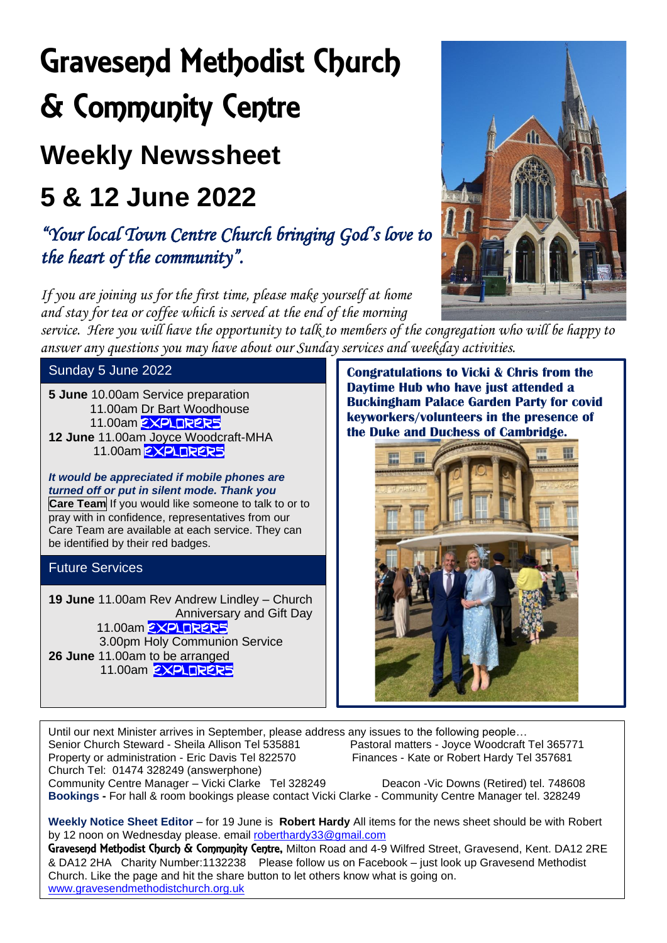# Gravesend Methodist Church & Community Centre

### **Weekly Newssheet**

## **5 & 12 June 2022**

*"Your local Town Centre Church bringing God's love to the heart of the community".* 

*If you are joining us for the first time, please make yourself at home and stay for tea or coffee which is served at the end of the morning* 

*service. Here you will have the opportunity to talk to members of the congregation who will be happy to answer any questions you may have about our Sunday services and weekday activities.* 

Sunday 5 June 2022

**5 June** 10.00am Service preparation 11.00am Dr Bart Woodhouse 11.00am **EXPLORERS 12 June** 11.00am Joyce Woodcraft-MHA 11.00am **EXPLORERS** 

*It would be appreciated if mobile phones are turned off or put in silent mode. Thank you* **Care Team** If you would like someone to talk to or to pray with in confidence, representatives from our Care Team are available at each service. They can be identified by their red badges.

#### Future Services

**19 June** 11.00am Rev Andrew Lindley – Church Anniversary and Gift Day 11.00am **EXPLORER5**  3.00pm Holy Communion Service **26 June** 11.00am to be arranged 11.00am **EXPLORERS** 

**Congratulations to Vicki & Chris from the Daytime Hub who have just attended a Buckingham Palace Garden Party for covid keyworkers/volunteers in the presence of the Duke and Duchess of Cambridge.** 



Until our next Minister arrives in September, please address any issues to the following people… Senior Church Steward - Sheila Allison Tel 535881 Pastoral matters - Joyce Woodcraft Tel 365771 Property or administration - Eric Davis Tel 822570 Finances - Kate or Robert Hardy Tel 357681 Church Tel: 01474 328249 (answerphone) Community Centre Manager – Vicki Clarke Tel 328249 Deacon -Vic Downs (Retired) tel. 748608 **Bookings -** For hall & room bookings please contact Vicki Clarke - Community Centre Manager tel. 328249

 $\overline{\phantom{a}}$ 

**Weekly Notice Sheet Editor** – for 19 June is **Robert Hardy** All items for the news sheet should be with Robert by 12 noon on Wednesday please. email [roberthardy33@gmail.com](mailto:roberthardy33@gmail.com)

Gravesend Methodist Church & Community Centre, Milton Road and 4-9 Wilfred Street, Gravesend, Kent. DA12 2RE & DA12 2HA Charity Number:1132238 Please follow us on Facebook – just look up Gravesend Methodist Church. Like the page and hit the share button to let others know what is going on. [www.gravesendmethodistchurch.org.uk](http://www.gravesendmethodistchurch.org.uk/)